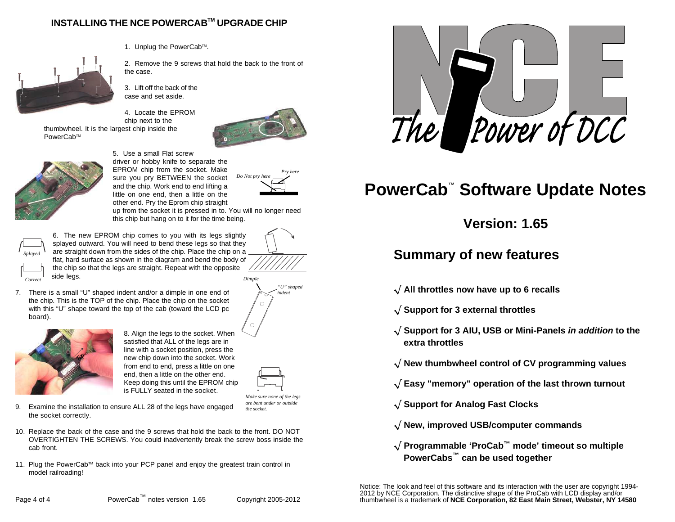### **INSTALLING THE NCE POWERCABTM UPGRADE CHIP**



PowerCab™

1. Unplug the PowerCab™.

2. Remove the 9 screws that hold the back to the front of the case.

3. Lift off the back of the case and set aside.

4. Locate the EPROM chip next to thethumbwheel. It is the largest chip inside the



*Do Not pry here*

*Pry here*



5. Use a small Flat screw driver or hobby knife to separate the EPROM chip from the socket. Make sure you pry BETWEEN the socket and the chip. Work end to end lifting a little on one end, then a little on the other end. Pry the Eprom chip straight

 up from the socket it is pressed in to. You will no longer need this chip but hang on to it for the time being.



*Correct*

6. The new EPROM chip comes to you with its legs slightly splayed outward. You will need to bend these legs so that they are straight down from the sides of the chip. Place the chip on a flat, hard surface as shown in the diagram and bend the body of the chip so that the legs are straight. Repeat with the oppositeside legs.

7. There is a small "U" shaped indent and/or a dimple in one end of the chip. This is the TOP of the chip. Place the chip on the socket with this "U" shape toward the top of the cab (toward the LCD pc board).



8. Align the legs to the socket. When satisfied that ALL of the legs are in line with a socket position, press the new chip down into the socket. Work from end to end, press a little on one end, then a little on the other end. Keep doing this until the EPROM chip is FULLY seated in the socket.





*Make sure none of the legs are bent under or outside the socket.*

- 9. Examine the installation to ensure ALL 28 of the legs have engaged the socket correctly.
- 10. Replace the back of the case and the 9 screws that hold the back to the front. DO NOT OVERTIGHTEN THE SCREWS. You could inadvertently break the screw boss inside the cab front.
- 11. Plug the PowerCab™ back into your PCP panel and enjoy the greatest train control in model railroading!



# **PowerCab™ Software Update Notes**

**Version: 1.65**

## **Summary of new features**

- **All throttles now have up to 6 recalls**
- **Support for 3 external throttles**
- **Support for 3 AIU, USB or Mini-Panels in addition to the extra throttles**
- **New thumbwheel control of CV programming values**
- **Easy "memory" operation of the last thrown turnout**
- **Support for Analog Fast Clocks**
- **New, improved USB/computer commands**
- **Programmable 'ProCab™ mode' timeout so multiple PowerCabs™ can be used together**

Notice: The look and feel of this software and its interaction with the user are copyright 1994-2012 by NCE Corporation. The distinctive shape of the ProCab with LCD display and/or thumbwheel is a trademark of **NCE Corporation, 82 East Main Street, Webster, NY 14580**